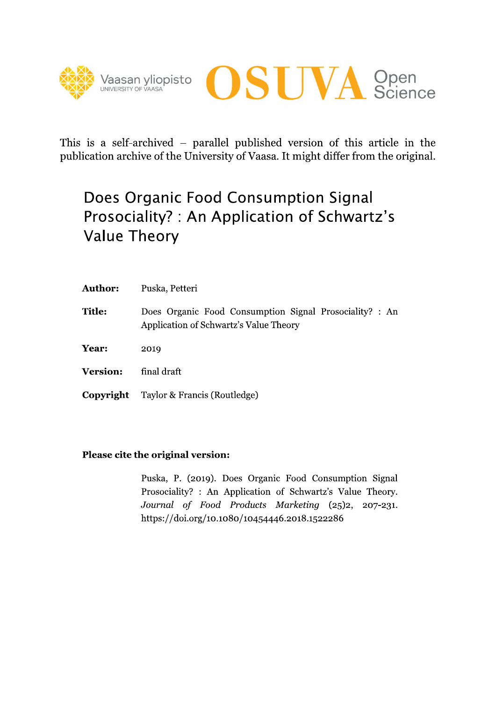



This is a self-archived – parallel published version of this article in the publication archive of the University of Vaasa. It might differ from the original.

# Does Organic Food Consumption Signal Prosociality?: An Application of Schwartz's **Value Theory**

| <b>Author:</b>  | Puska, Petteri                                                                                    |
|-----------------|---------------------------------------------------------------------------------------------------|
| <b>Title:</b>   | Does Organic Food Consumption Signal Prosociality? : An<br>Application of Schwartz's Value Theory |
| Year:           | 2019                                                                                              |
| <b>Version:</b> | final draft                                                                                       |
| Copyright       | Taylor & Francis (Routledge)                                                                      |

## Please cite the original version:

Puska, P. (2019). Does Organic Food Consumption Signal Prosociality? : An Application of Schwartz's Value Theory. Journal of Food Products Marketing (25)2, 207-231. https://doi.org/10.1080/10454446.2018.1522286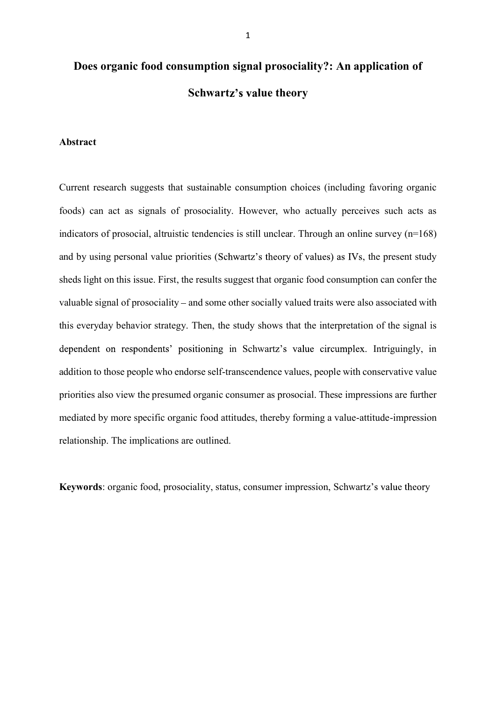# **Does organic food consumption signal prosociality?: An application of Schwartz's value theory**

## **Abstract**

Current research suggests that sustainable consumption choices (including favoring organic foods) can act as signals of prosociality. However, who actually perceives such acts as indicators of prosocial, altruistic tendencies is still unclear. Through an online survey (n=168) and by using personal value priorities (Schwartz's theory of values) as IVs, the present study sheds light on this issue. First, the results suggest that organic food consumption can confer the valuable signal of prosociality – and some other socially valued traits were also associated with this everyday behavior strategy. Then, the study shows that the interpretation of the signal is dependent on respondents' positioning in Schwartz's value circumplex. Intriguingly, in addition to those people who endorse self-transcendence values, people with conservative value priorities also view the presumed organic consumer as prosocial. These impressions are further mediated by more specific organic food attitudes, thereby forming a value-attitude-impression relationship. The implications are outlined.

**Keywords**: organic food, prosociality, status, consumer impression, Schwartz's value theory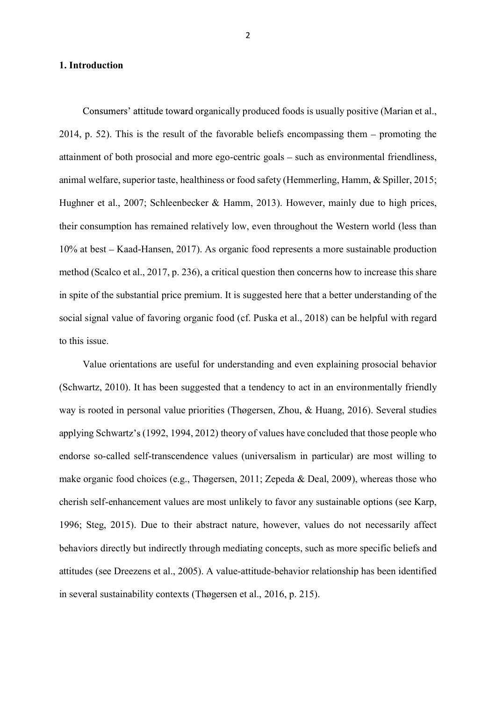#### **1. Introduction**

Consumers' attitude toward organically produced foods is usually positive (Marian et al., 2014, p. 52). This is the result of the favorable beliefs encompassing them  $-$  promoting the attainment of both prosocial and more ego-centric goals – such as environmental friendliness, animal welfare, superior taste, healthiness or food safety (Hemmerling, Hamm, & Spiller, 2015; Hughner et al., 2007; Schleenbecker & Hamm, 2013). However, mainly due to high prices, their consumption has remained relatively low, even throughout the Western world (less than 10% at best – Kaad-Hansen, 2017). As organic food represents a more sustainable production method (Scalco et al., 2017, p. 236), a critical question then concerns how to increase this share in spite of the substantial price premium. It is suggested here that a better understanding of the social signal value of favoring organic food (cf. Puska et al., 2018) can be helpful with regard to this issue.

Value orientations are useful for understanding and even explaining prosocial behavior (Schwartz, 2010). It has been suggested that a tendency to act in an environmentally friendly way is rooted in personal value priorities (Thøgersen, Zhou, & Huang, 2016). Several studies applying Schwartz's (1992, 1994, 2012) theory of values have concluded that those people who endorse so-called self-transcendence values (universalism in particular) are most willing to make organic food choices (e.g., Thøgersen, 2011; Zepeda & Deal, 2009), whereas those who cherish self-enhancement values are most unlikely to favor any sustainable options (see Karp, 1996; Steg, 2015). Due to their abstract nature, however, values do not necessarily affect behaviors directly but indirectly through mediating concepts, such as more specific beliefs and attitudes (see Dreezens et al., 2005). A value-attitude-behavior relationship has been identified in several sustainability contexts (Thøgersen et al., 2016, p. 215).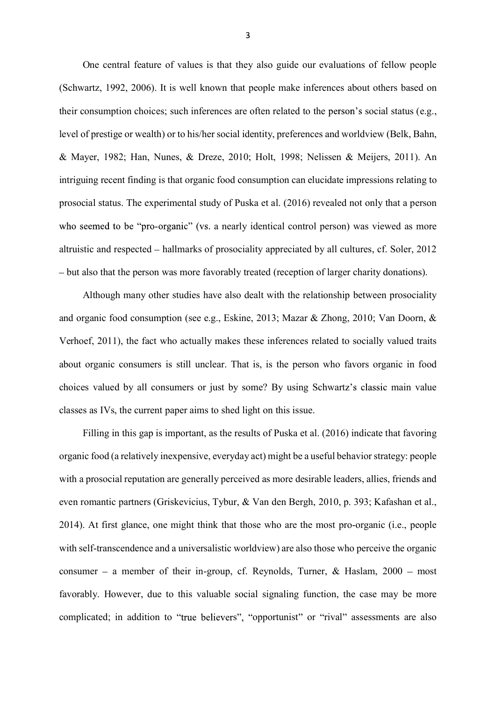One central feature of values is that they also guide our evaluations of fellow people (Schwartz, 1992, 2006). It is well known that people make inferences about others based on their consumption choices; such inferences are often related to the person's social status (e.g., level of prestige or wealth) or to his/her social identity, preferences and worldview (Belk, Bahn, & Mayer, 1982; Han, Nunes, & Dreze, 2010; Holt, 1998; Nelissen & Meijers, 2011). An intriguing recent finding is that organic food consumption can elucidate impressions relating to prosocial status. The experimental study of Puska et al. (2016) revealed not only that a person who seemed to be "pro-organic" (vs. a nearly identical control person) was viewed as more altruistic and respected hallmarks of prosociality appreciated by all cultures, cf. Soler, 2012 but also that the person was more favorably treated (reception of larger charity donations).

Although many other studies have also dealt with the relationship between prosociality and organic food consumption (see e.g., Eskine, 2013; Mazar & Zhong, 2010; Van Doorn, & Verhoef, 2011), the fact who actually makes these inferences related to socially valued traits about organic consumers is still unclear. That is, is the person who favors organic in food choices valued by all consumers or just by some? By using Schwartz's classic main value classes as IVs, the current paper aims to shed light on this issue.

Filling in this gap is important, as the results of Puska et al. (2016) indicate that favoring organic food (a relatively inexpensive, everyday act) might be a useful behavior strategy: people with a prosocial reputation are generally perceived as more desirable leaders, allies, friends and even romantic partners (Griskevicius, Tybur, & Van den Bergh, 2010, p. 393; Kafashan et al., 2014). At first glance, one might think that those who are the most pro-organic (i.e., people with self-transcendence and a universalistic worldview) are also those who perceive the organic consumer – a member of their in-group, cf. Reynolds, Turner,  $\&$  Haslam, 2000 – most favorably. However, due to this valuable social signaling function, the case may be more complicated; in addition to "true believers", "opportunist" or "rival" assessments are also

3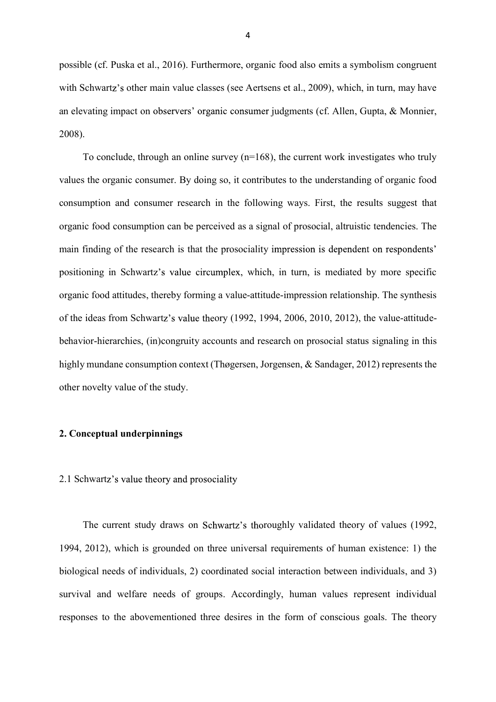possible (cf. Puska et al., 2016). Furthermore, organic food also emits a symbolism congruent with Schwartz's other main value classes (see Aertsens et al., 2009), which, in turn, may have an elevating impact on observers' organic consumer judgments (cf. Allen, Gupta, & Monnier, 2008).

To conclude, through an online survey  $(n=168)$ , the current work investigates who truly values the organic consumer. By doing so, it contributes to the understanding of organic food consumption and consumer research in the following ways. First, the results suggest that organic food consumption can be perceived as a signal of prosocial, altruistic tendencies. The main finding of the research is that the prosociality impression is dependent on respondents' positioning in Schwartz's value circumplex, which, in turn, is mediated by more specific organic food attitudes, thereby forming a value-attitude-impression relationship. The synthesis of the ideas from Schwartz's value theory  $(1992, 1994, 2006, 2010, 2012)$ , the value-attitudebehavior-hierarchies, (in)congruity accounts and research on prosocial status signaling in this highly mundane consumption context (Thøgersen, Jorgensen, & Sandager, 2012) represents the other novelty value of the study.

## **2. Conceptual underpinnings**

### 2.1 Schwartz's value theory and prosociality

The current study draws on Schwartz's thoroughly validated theory of values (1992, 1994, 2012), which is grounded on three universal requirements of human existence: 1) the biological needs of individuals, 2) coordinated social interaction between individuals, and 3) survival and welfare needs of groups. Accordingly, human values represent individual responses to the abovementioned three desires in the form of conscious goals. The theory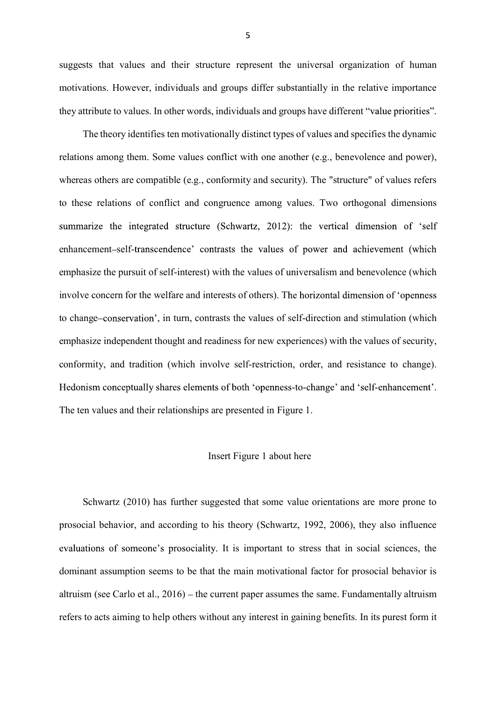suggests that values and their structure represent the universal organization of human motivations. However, individuals and groups differ substantially in the relative importance they attribute to values. In other words, individuals and groups have different

The theory identifies ten motivationally distinct types of values and specifies the dynamic relations among them. Some values conflict with one another (e.g., benevolence and power), whereas others are compatible (e.g., conformity and security). The "structure" of values refers to these relations of conflict and congruence among values. Two orthogonal dimensions summarize the integrated structure (Schwartz, 2012): the vertical dimension of 'self enhancement-self-transcendence' contrasts the values of power and achievement (which emphasize the pursuit of self-interest) with the values of universalism and benevolence (which involve concern for the welfare and interests of others). The horizontal dimension of 'openness to change–conservation', in turn, contrasts the values of self-direction and stimulation (which emphasize independent thought and readiness for new experiences) with the values of security, conformity, and tradition (which involve self-restriction, order, and resistance to change). Hedonism conceptually shares elements of both 'openness-to-change' and 'self-enhancement'. The ten values and their relationships are presented in Figure 1.

## Insert Figure 1 about here

Schwartz (2010) has further suggested that some value orientations are more prone to prosocial behavior, and according to his theory (Schwartz, 1992, 2006), they also influence evaluations of someone's prosociality. It is important to stress that in social sciences, the dominant assumption seems to be that the main motivational factor for prosocial behavior is altruism (see Carlo et al.,  $2016$ ) – the current paper assumes the same. Fundamentally altruism refers to acts aiming to help others without any interest in gaining benefits. In its purest form it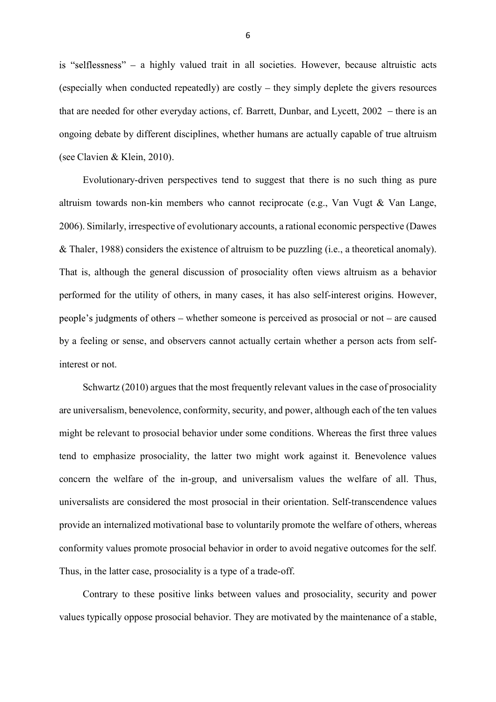is "selflessness"  $-$  a highly valued trait in all societies. However, because altruistic acts (especially when conducted repeatedly) are costly  $-$  they simply deplete the givers resources that are needed for other everyday actions, cf. Barrett, Dunbar, and Lycett,  $2002 -$  there is an ongoing debate by different disciplines, whether humans are actually capable of true altruism (see Clavien & Klein, 2010).

Evolutionary-driven perspectives tend to suggest that there is no such thing as pure altruism towards non-kin members who cannot reciprocate (e.g., Van Vugt & Van Lange, 2006). Similarly, irrespective of evolutionary accounts, a rational economic perspective (Dawes & Thaler, 1988) considers the existence of altruism to be puzzling (i.e., a theoretical anomaly). That is, although the general discussion of prosociality often views altruism as a behavior performed for the utility of others, in many cases, it has also self-interest origins. However, people's judgments of other someone is perceived as prosocial or not  $-$  are caused by a feeling or sense, and observers cannot actually certain whether a person acts from selfinterest or not.

Schwartz (2010) argues that the most frequently relevant values in the case of prosociality are universalism, benevolence, conformity, security, and power, although each of the ten values might be relevant to prosocial behavior under some conditions. Whereas the first three values tend to emphasize prosociality, the latter two might work against it. Benevolence values concern the welfare of the in-group, and universalism values the welfare of all. Thus, universalists are considered the most prosocial in their orientation. Self-transcendence values provide an internalized motivational base to voluntarily promote the welfare of others, whereas conformity values promote prosocial behavior in order to avoid negative outcomes for the self. Thus, in the latter case, prosociality is a type of a trade-off.

Contrary to these positive links between values and prosociality, security and power values typically oppose prosocial behavior. They are motivated by the maintenance of a stable,

6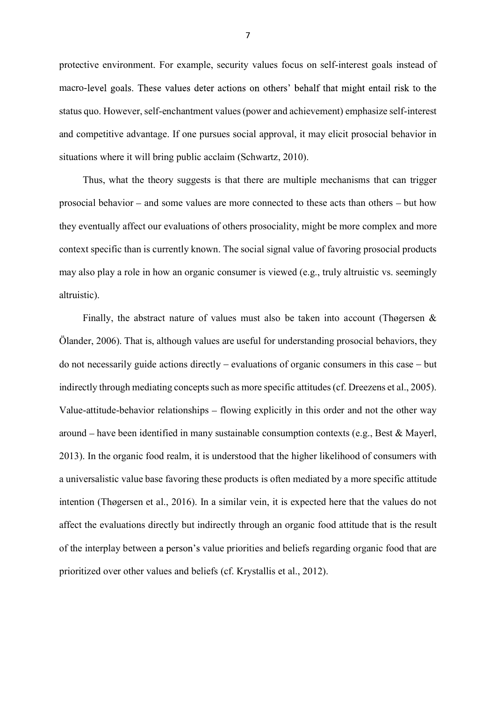protective environment. For example, security values focus on self-interest goals instead of macro-level goals. These values deter actions on others' behalf that might entail risk to the status quo. However, self-enchantment values (power and achievement) emphasize self-interest and competitive advantage. If one pursues social approval, it may elicit prosocial behavior in situations where it will bring public acclaim (Schwartz, 2010).

Thus, what the theory suggests is that there are multiple mechanisms that can trigger prosocial behavior  $-$  and some values are more connected to these acts than others  $-$  but how they eventually affect our evaluations of others prosociality, might be more complex and more context specific than is currently known. The social signal value of favoring prosocial products may also play a role in how an organic consumer is viewed (e.g., truly altruistic vs. seemingly altruistic).

Finally, the abstract nature of values must also be taken into account (Thøgersen  $\&$ Ölander, 2006). That is, although values are useful for understanding prosocial behaviors, they do not necessarily guide actions directly – evaluations of organic consumers in this case – but indirectly through mediating concepts such as more specific attitudes (cf. Dreezens et al., 2005). Value-attitude-behavior relationships  $-$  flowing explicitly in this order and not the other way around  $-$  have been identified in many sustainable consumption contexts (e.g., Best & Mayerl, 2013). In the organic food realm, it is understood that the higher likelihood of consumers with a universalistic value base favoring these products is often mediated by a more specific attitude intention (Thøgersen et al., 2016). In a similar vein, it is expected here that the values do not affect the evaluations directly but indirectly through an organic food attitude that is the result of the interplay between a person's value priorities and beliefs regarding organic food that are prioritized over other values and beliefs (cf. Krystallis et al., 2012).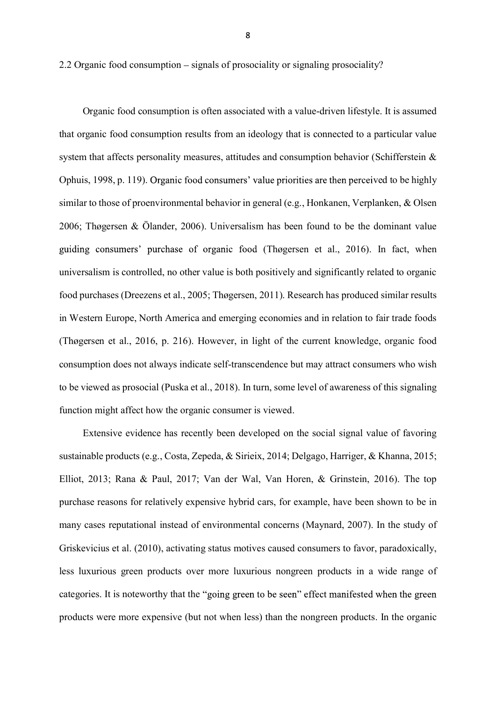2.2 Organic food consumption – signals of prosociality or signaling prosociality?

Organic food consumption is often associated with a value-driven lifestyle. It is assumed that organic food consumption results from an ideology that is connected to a particular value system that affects personality measures, attitudes and consumption behavior (Schifferstein & Ophuis, 1998, p. 119). Organic food consumers' value priorities are then perceived to be highly similar to those of proenvironmental behavior in general (e.g., Honkanen, Verplanken, & Olsen 2006; Thøgersen & Ölander, 2006). Universalism has been found to be the dominant value guiding consumers' purchase of organic food (Thøgersen et al., 2016). In fact, when universalism is controlled, no other value is both positively and significantly related to organic food purchases (Dreezens et al., 2005; Thøgersen, 2011). Research has produced similar results in Western Europe, North America and emerging economies and in relation to fair trade foods (Thøgersen et al., 2016, p. 216). However, in light of the current knowledge, organic food consumption does not always indicate self-transcendence but may attract consumers who wish to be viewed as prosocial (Puska et al., 2018). In turn, some level of awareness of this signaling function might affect how the organic consumer is viewed.

Extensive evidence has recently been developed on the social signal value of favoring sustainable products (e.g., Costa, Zepeda, & Sirieix, 2014; Delgago, Harriger, & Khanna, 2015; Elliot, 2013; Rana & Paul, 2017; Van der Wal, Van Horen, & Grinstein, 2016). The top purchase reasons for relatively expensive hybrid cars, for example, have been shown to be in many cases reputational instead of environmental concerns (Maynard, 2007). In the study of Griskevicius et al. (2010), activating status motives caused consumers to favor, paradoxically, less luxurious green products over more luxurious nongreen products in a wide range of categories. It is noteworthy that the "going green to be seen" effect manifested when the green products were more expensive (but not when less) than the nongreen products. In the organic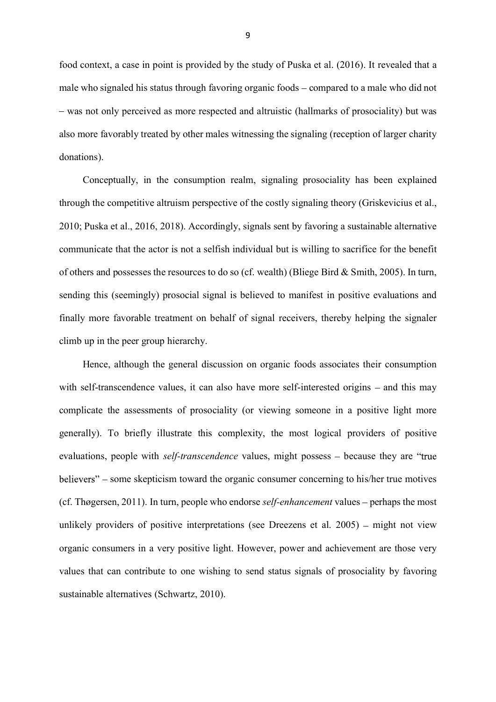food context, a case in point is provided by the study of Puska et al. (2016). It revealed that a male who signaled his status through favoring organic foods – compared to a male who did not - was not only perceived as more respected and altruistic (hallmarks of prosociality) but was also more favorably treated by other males witnessing the signaling (reception of larger charity donations).

Conceptually, in the consumption realm, signaling prosociality has been explained through the competitive altruism perspective of the costly signaling theory (Griskevicius et al., 2010; Puska et al., 2016, 2018). Accordingly, signals sent by favoring a sustainable alternative communicate that the actor is not a selfish individual but is willing to sacrifice for the benefit of others and possesses the resources to do so (cf. wealth) (Bliege Bird & Smith, 2005). In turn, sending this (seemingly) prosocial signal is believed to manifest in positive evaluations and finally more favorable treatment on behalf of signal receivers, thereby helping the signaler climb up in the peer group hierarchy.

Hence, although the general discussion on organic foods associates their consumption with self-transcendence values, it can also have more self-interested origins  $-$  and this may complicate the assessments of prosociality (or viewing someone in a positive light more generally). To briefly illustrate this complexity, the most logical providers of positive evaluations, people with *self-transcendence* values, might possess – because they are "true" believers" – some skepticism toward the organic consumer concerning to his/her true motives (cf. Thøgersen, 2011). In turn, people who endorse *self-enhancement* values – perhaps the most unlikely providers of positive interpretations (see Dreezens et al.  $2005$ ) – might not view organic consumers in a very positive light. However, power and achievement are those very values that can contribute to one wishing to send status signals of prosociality by favoring sustainable alternatives (Schwartz, 2010).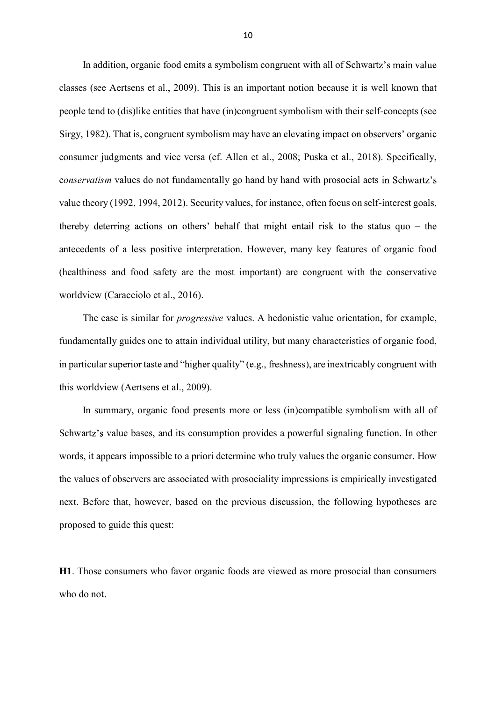In addition, organic food emits a symbolism congruent with all of Schwartz's main value classes (see Aertsens et al., 2009). This is an important notion because it is well known that people tend to (dis)like entities that have (in)congruent symbolism with their self-concepts (see Sirgy, 1982). That is, congruent symbolism may have an elevating impact on observers' organic consumer judgments and vice versa (cf. Allen et al., 2008; Puska et al., 2018). Specifically, conservatism values do not fundamentally go hand by hand with prosocial acts in Schwartz's value theory (1992, 1994, 2012). Security values, for instance, often focus on self-interest goals, thereby deterring actions on others' behalf that might entail risk to the status quo  $-$  the antecedents of a less positive interpretation. However, many key features of organic food (healthiness and food safety are the most important) are congruent with the conservative worldview (Caracciolo et al., 2016).

The case is similar for *progressive* values. A hedonistic value orientation, for example, fundamentally guides one to attain individual utility, but many characteristics of organic food, in particular superior taste and "higher quality" (e.g., freshness), are inextricably congruent with this worldview (Aertsens et al., 2009).

In summary, organic food presents more or less (in)compatible symbolism with all of Schwartz's value bases, and its consumption provides a powerful signaling function. In other words, it appears impossible to a priori determine who truly values the organic consumer. How the values of observers are associated with prosociality impressions is empirically investigated next. Before that, however, based on the previous discussion, the following hypotheses are proposed to guide this quest:

**H1**. Those consumers who favor organic foods are viewed as more prosocial than consumers who do not.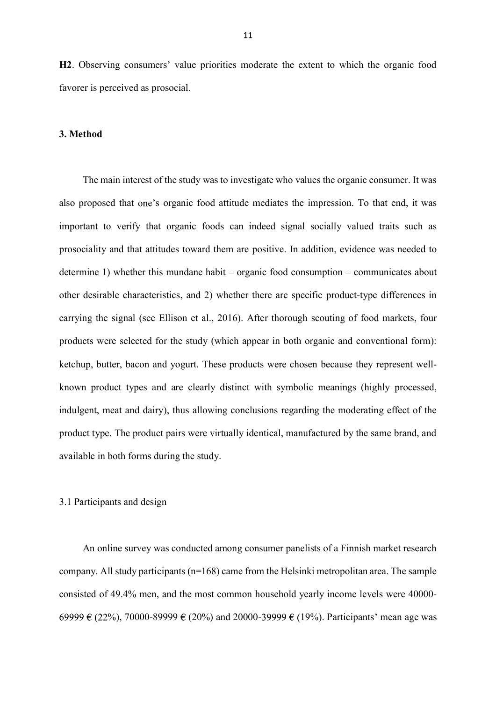**H2**. Observing consumers' value priorities moderate the extent to which the organic food favorer is perceived as prosocial.

## **3. Method**

The main interest of the study was to investigate who values the organic consumer. It was also proposed that one's organic food attitude mediates the impression. To that end, it was important to verify that organic foods can indeed signal socially valued traits such as prosociality and that attitudes toward them are positive. In addition, evidence was needed to determine 1) whether this mundane habit  $-$  organic food consumption  $-$  communicates about other desirable characteristics, and 2) whether there are specific product-type differences in carrying the signal (see Ellison et al., 2016). After thorough scouting of food markets, four products were selected for the study (which appear in both organic and conventional form): ketchup, butter, bacon and yogurt. These products were chosen because they represent wellknown product types and are clearly distinct with symbolic meanings (highly processed, indulgent, meat and dairy), thus allowing conclusions regarding the moderating effect of the product type. The product pairs were virtually identical, manufactured by the same brand, and available in both forms during the study.

## 3.1 Participants and design

An online survey was conducted among consumer panelists of a Finnish market research company. All study participants (n=168) came from the Helsinki metropolitan area. The sample consisted of 49.4% men, and the most common household yearly income levels were 40000- 69999  $\in (22\%)$ , 70000-89999  $\in (20\%)$  and 20000-39999  $\in (19\%)$ . Participants' mean age was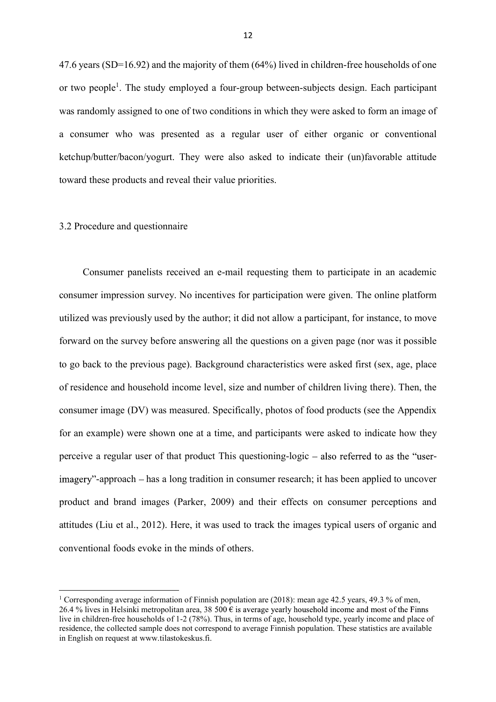47.6 years (SD=16.92) and the majority of them (64%) lived in children-free households of one or two people<sup>1</sup>. The study employed a four-group between-subjects design. Each participant was randomly assigned to one of two conditions in which they were asked to form an image of a consumer who was presented as a regular user of either organic or conventional ketchup/butter/bacon/yogurt. They were also asked to indicate their (un)favorable attitude toward these products and reveal their value priorities.

#### 3.2 Procedure and questionnaire

Consumer panelists received an e-mail requesting them to participate in an academic consumer impression survey. No incentives for participation were given. The online platform utilized was previously used by the author; it did not allow a participant, for instance, to move forward on the survey before answering all the questions on a given page (nor was it possible to go back to the previous page). Background characteristics were asked first (sex, age, place of residence and household income level, size and number of children living there). Then, the consumer image (DV) was measured. Specifically, photos of food products (see the Appendix for an example) were shown one at a time, and participants were asked to indicate how they perceive a regular user of that product This questioning-logic  $-$  also referred to as the "userimagery"-approach – has a long tradition in consumer research; it has been applied to uncover product and brand images (Parker, 2009) and their effects on consumer perceptions and attitudes (Liu et al., 2012). Here, it was used to track the images typical users of organic and conventional foods evoke in the minds of others.

<sup>&</sup>lt;sup>1</sup> Corresponding average information of Finnish population are (2018): mean age 42.5 years, 49.3 % of men, 26.4 % lives in Helsinki metropolitan area, 38 500  $\epsilon$  is average yearly household income and most of the Finns live in children-free households of 1-2 (78%). Thus, in terms of age, household type, yearly income and place of residence, the collected sample does not correspond to average Finnish population. These statistics are available in English on request at www.tilastokeskus.fi.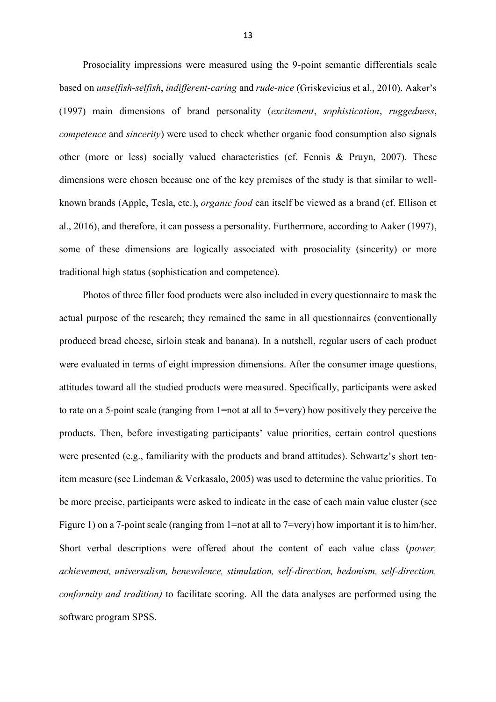Prosociality impressions were measured using the 9-point semantic differentials scale based on *unselfish-selfish*, *indifferent-caring* and *rude-nice* (1997) main dimensions of brand personality (*excitement*, *sophistication*, *ruggedness*, *competence* and *sincerity*) were used to check whether organic food consumption also signals other (more or less) socially valued characteristics (cf. Fennis & Pruyn, 2007). These dimensions were chosen because one of the key premises of the study is that similar to wellknown brands (Apple, Tesla, etc.), *organic food* can itself be viewed as a brand (cf. Ellison et al., 2016), and therefore, it can possess a personality. Furthermore, according to Aaker (1997), some of these dimensions are logically associated with prosociality (sincerity) or more traditional high status (sophistication and competence).

Photos of three filler food products were also included in every questionnaire to mask the actual purpose of the research; they remained the same in all questionnaires (conventionally produced bread cheese, sirloin steak and banana). In a nutshell, regular users of each product were evaluated in terms of eight impression dimensions. After the consumer image questions, attitudes toward all the studied products were measured. Specifically, participants were asked to rate on a 5-point scale (ranging from 1=not at all to 5=very) how positively they perceive the products. Then, before investigating participants' value priorities, certain control questions were presented  $(e.g., familiarity with the products and brand attitudes). Schwarz's short ten$ item measure (see Lindeman & Verkasalo, 2005) was used to determine the value priorities. To be more precise, participants were asked to indicate in the case of each main value cluster (see Figure 1) on a 7-point scale (ranging from 1=not at all to 7=very) how important it is to him/her. Short verbal descriptions were offered about the content of each value class (*power, achievement, universalism, benevolence, stimulation, self-direction, hedonism, self-direction, conformity and tradition)* to facilitate scoring. All the data analyses are performed using the software program SPSS.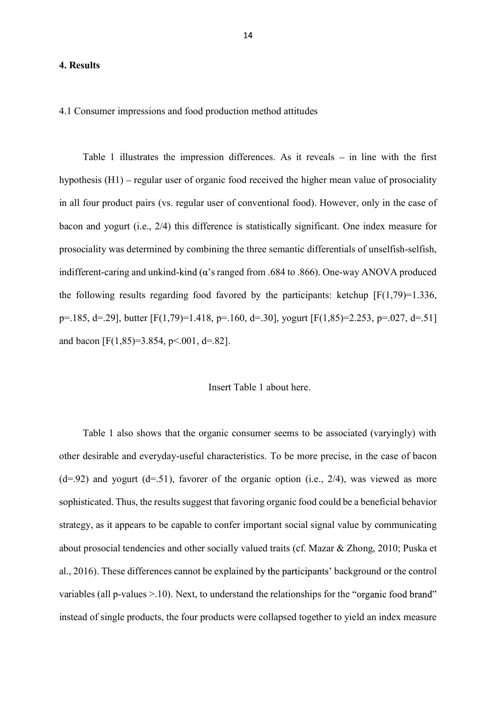#### **4. Results**

4.1 Consumer impressions and food production method attitudes

Table 1 illustrates the impression differences. As it reveals  $-$  in line with the first hypothesis  $(H1)$  – regular user of organic food received the higher mean value of prosociality in all four product pairs (vs. regular user of conventional food). However, only in the case of bacon and yogurt (i.e., 2/4) this difference is statistically significant. One index measure for prosociality was determined by combining the three semantic differentials of unselfish-selfish, indifferent-caring and unkind-kind  $\alpha$ 's ranged from .684 to .866). One-way ANOVA produced the following results regarding food favored by the participants: ketchup  $[F(1,79)=1.336]$ , p=.185, d=.29], butter  $[F(1,79)=1.418$ , p=.160, d=.30], yogurt  $[F(1,85)=2.253, p=.027, d=.51]$ and bacon [F(1,85)=3.854, p <. 001, d =. 82].

#### Insert Table 1 about here.

Table 1 also shows that the organic consumer seems to be associated (varyingly) with other desirable and everyday-useful characteristics. To be more precise, in the case of bacon  $(d=0.92)$  and yogurt  $(d=0.51)$ , favorer of the organic option (i.e., 2/4), was viewed as more sophisticated. Thus, the results suggest that favoring organic food could be a beneficial behavior strategy, as it appears to be capable to confer important social signal value by communicating about prosocial tendencies and other socially valued traits (cf. Mazar & Zhong, 2010; Puska et al., 2016). These differences cannot be explained by the participants' background or the control variables (all p-values  $>10$ ). Next, to understand the relationships for the "organic food brand" instead of single products, the four products were collapsed together to yield an index measure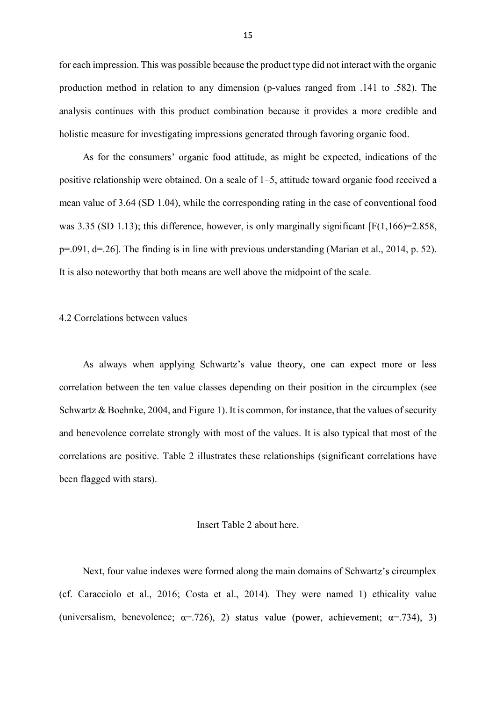for each impression. This was possible because the product type did not interact with the organic production method in relation to any dimension (p-values ranged from .141 to .582). The analysis continues with this product combination because it provides a more credible and holistic measure for investigating impressions generated through favoring organic food.

As for the consumers' organic food attitude, as might be expected, indications of the positive relationship were obtained. On a scale of 1–5, attitude toward organic food received a mean value of 3.64 (SD 1.04), while the corresponding rating in the case of conventional food was 3.35 (SD 1.13); this difference, however, is only marginally significant  $[F(1,166)=2.858]$ , p=.091, d=.26]. The finding is in line with previous understanding (Marian et al., 2014, p. 52). It is also noteworthy that both means are well above the midpoint of the scale.

#### 4.2 Correlations between values

As always when applying Schwartz's value theory, one can expect more or less correlation between the ten value classes depending on their position in the circumplex (see Schwartz & Boehnke, 2004, and Figure 1). It is common, for instance, that the values of security and benevolence correlate strongly with most of the values. It is also typical that most of the correlations are positive. Table 2 illustrates these relationships (significant correlations have been flagged with stars).

### Insert Table 2 about here.

Next, four value indexes were formed along the main domains of Schwartz's circumplex (cf. Caracciolo et al., 2016; Costa et al., 2014). They were named 1) ethicality value (universalism, benevolence;  $\alpha = .726$ ), 2) status value (power, achievement;  $\alpha = .734$ ), 3)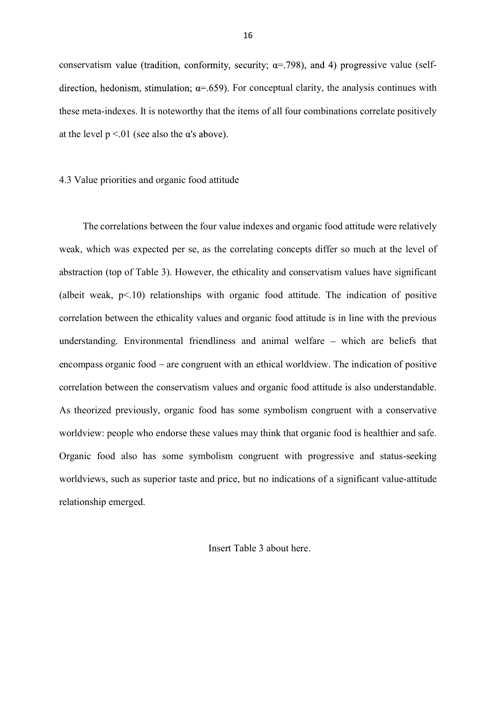conservatism value (tradition, conformity, security;  $\alpha$ =.798), and 4) progressive value (selfdirection, hedonism, stimulation;  $\alpha = 659$ ). For conceptual clarity, the analysis continues with these meta-indexes. It is noteworthy that the items of all four combinations correlate positively at the level  $p < 01$  (see also the  $\alpha$ 's above).

#### 4.3 Value priorities and organic food attitude

The correlations between the four value indexes and organic food attitude were relatively weak, which was expected per se, as the correlating concepts differ so much at the level of abstraction (top of Table 3). However, the ethicality and conservatism values have significant (albeit weak, p<.10) relationships with organic food attitude. The indication of positive correlation between the ethicality values and organic food attitude is in line with the previous understanding. Environmental friendliness and animal welfare - which are beliefs that encompass organic food – are congruent with an ethical worldview. The indication of positive correlation between the conservatism values and organic food attitude is also understandable. As theorized previously, organic food has some symbolism congruent with a conservative worldview: people who endorse these values may think that organic food is healthier and safe. Organic food also has some symbolism congruent with progressive and status-seeking worldviews, such as superior taste and price, but no indications of a significant value-attitude relationship emerged.

Insert Table 3 about here.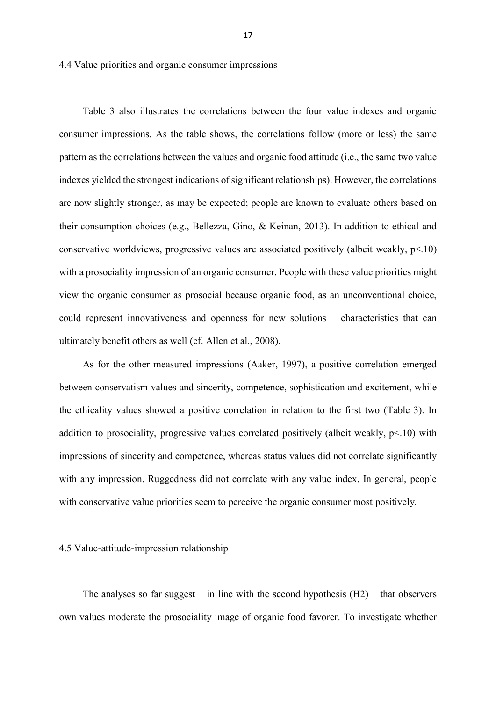4.4 Value priorities and organic consumer impressions

Table 3 also illustrates the correlations between the four value indexes and organic consumer impressions. As the table shows, the correlations follow (more or less) the same pattern as the correlations between the values and organic food attitude (i.e., the same two value indexes yielded the strongest indications of significant relationships). However, the correlations are now slightly stronger, as may be expected; people are known to evaluate others based on their consumption choices (e.g., Bellezza, Gino, & Keinan, 2013). In addition to ethical and conservative worldviews, progressive values are associated positively (albeit weakly,  $p<10$ ) with a prosociality impression of an organic consumer. People with these value priorities might view the organic consumer as prosocial because organic food, as an unconventional choice, could represent innovativeness and openness for new solutions – characteristics that can ultimately benefit others as well (cf. Allen et al., 2008).

As for the other measured impressions (Aaker, 1997), a positive correlation emerged between conservatism values and sincerity, competence, sophistication and excitement, while the ethicality values showed a positive correlation in relation to the first two (Table 3). In addition to prosociality, progressive values correlated positively (albeit weakly,  $p<10$ ) with impressions of sincerity and competence, whereas status values did not correlate significantly with any impression. Ruggedness did not correlate with any value index. In general, people with conservative value priorities seem to perceive the organic consumer most positively.

#### 4.5 Value-attitude-impression relationship

The analyses so far suggest  $-$  in line with the second hypothesis (H2)  $-$  that observers own values moderate the prosociality image of organic food favorer. To investigate whether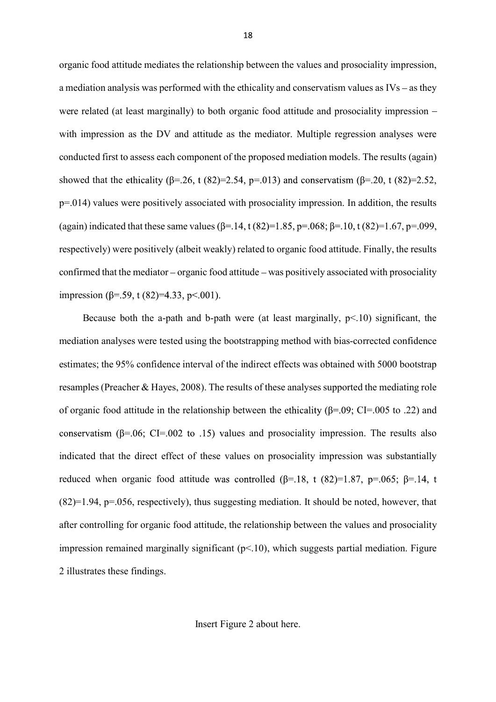organic food attitude mediates the relationship between the values and prosociality impression, a mediation analysis was performed with the ethicality and conservatism values as  $IVs - as$  they were related (at least marginally) to both organic food attitude and prosociality impression – with impression as the DV and attitude as the mediator. Multiple regression analyses were conducted first to assess each component of the proposed mediation models. The results (again) showed that the ethicality ( $\beta$ =.26, t (82)=2.54, p=.013) and conservatism ( $\beta$ =.20, t (82)=2.52, p=.014) values were positively associated with prosociality impression. In addition, the results (again) indicated that these same values  $(\beta = .14, t(82)=1.85, p=.068; \beta = .10, t(82)=1.67, p=.099,$ respectively) were positively (albeit weakly) related to organic food attitude. Finally, the results confirmed that the mediator  $-\sigma$  organic food attitude  $-\sigma$  was positively associated with prosociality impression ( $\beta$ =.59, t (82)=4.33, p<.001).

Because both the a-path and b-path were (at least marginally,  $p\leq 10$ ) significant, the mediation analyses were tested using the bootstrapping method with bias-corrected confidence estimates; the 95% confidence interval of the indirect effects was obtained with 5000 bootstrap resamples (Preacher & Hayes, 2008). The results of these analyses supported the mediating role of organic food attitude in the relationship between the ethicality ( $\beta$ =.09; CI=.005 to .22) and conservatism ( $\beta$ =.06; CI=.002 to .15) values and prosociality impression. The results also indicated that the direct effect of these values on prosociality impression was substantially reduced when organic food attitude was controlled  $(\beta = .18, t (82)=1.87, p=.065; \beta = .14, t$  $(82)=1.94$ ,  $p=.056$ , respectively), thus suggesting mediation. It should be noted, however, that after controlling for organic food attitude, the relationship between the values and prosociality impression remained marginally significant  $(p<10)$ , which suggests partial mediation. Figure 2 illustrates these findings.

Insert Figure 2 about here.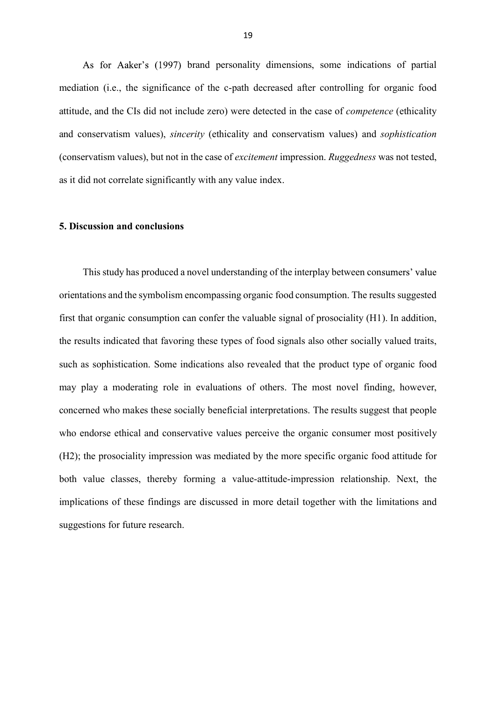As for Aaker's (1997) brand personality dimensions, some indications of partial mediation (i.e., the significance of the c-path decreased after controlling for organic food attitude, and the CIs did not include zero) were detected in the case of *competence* (ethicality and conservatism values), *sincerity* (ethicality and conservatism values) and *sophistication* (conservatism values), but not in the case of *excitement* impression. *Ruggedness* was not tested, as it did not correlate significantly with any value index.

## **5. Discussion and conclusions**

This study has produced a novel understanding of the interplay between consumers' value orientations and the symbolism encompassing organic food consumption. The results suggested first that organic consumption can confer the valuable signal of prosociality (H1). In addition, the results indicated that favoring these types of food signals also other socially valued traits, such as sophistication. Some indications also revealed that the product type of organic food may play a moderating role in evaluations of others. The most novel finding, however, concerned who makes these socially beneficial interpretations. The results suggest that people who endorse ethical and conservative values perceive the organic consumer most positively (H2); the prosociality impression was mediated by the more specific organic food attitude for both value classes, thereby forming a value-attitude-impression relationship. Next, the implications of these findings are discussed in more detail together with the limitations and suggestions for future research.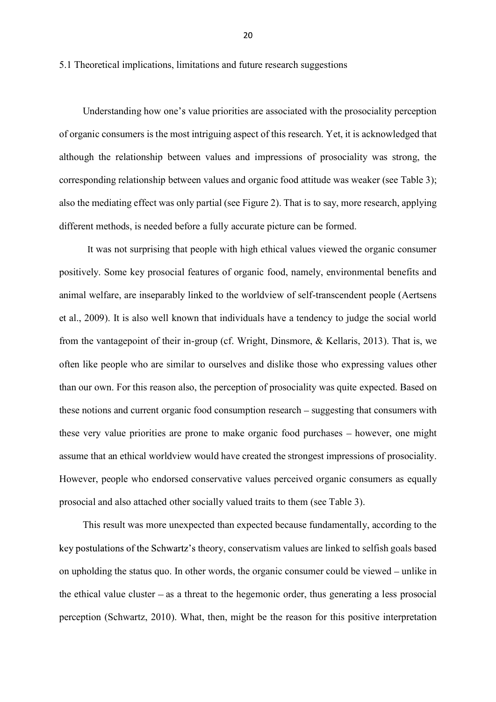5.1 Theoretical implications, limitations and future research suggestions

Understanding how one's value priorities are associated with the prosociality perception of organic consumers is the most intriguing aspect of this research. Yet, it is acknowledged that although the relationship between values and impressions of prosociality was strong, the corresponding relationship between values and organic food attitude was weaker (see Table 3); also the mediating effect was only partial (see Figure 2). That is to say, more research, applying different methods, is needed before a fully accurate picture can be formed.

 It was not surprising that people with high ethical values viewed the organic consumer positively. Some key prosocial features of organic food, namely, environmental benefits and animal welfare, are inseparably linked to the worldview of self-transcendent people (Aertsens et al., 2009). It is also well known that individuals have a tendency to judge the social world from the vantagepoint of their in-group (cf. Wright, Dinsmore, & Kellaris, 2013). That is, we often like people who are similar to ourselves and dislike those who expressing values other than our own. For this reason also, the perception of prosociality was quite expected. Based on these notions and current organic food consumption research – suggesting that consumers with these very value priorities are prone to make organic food purchases – however, one might assume that an ethical worldview would have created the strongest impressions of prosociality. However, people who endorsed conservative values perceived organic consumers as equally prosocial and also attached other socially valued traits to them (see Table 3).

This result was more unexpected than expected because fundamentally, according to the key postulations of the Schwartz's theory, conservatism values are linked to selfish goals based on upholding the status quo. In other words, the organic consumer could be viewed  $-$  unlike in the ethical value cluster  $-\infty$  a threat to the hegemonic order, thus generating a less prosocial perception (Schwartz, 2010). What, then, might be the reason for this positive interpretation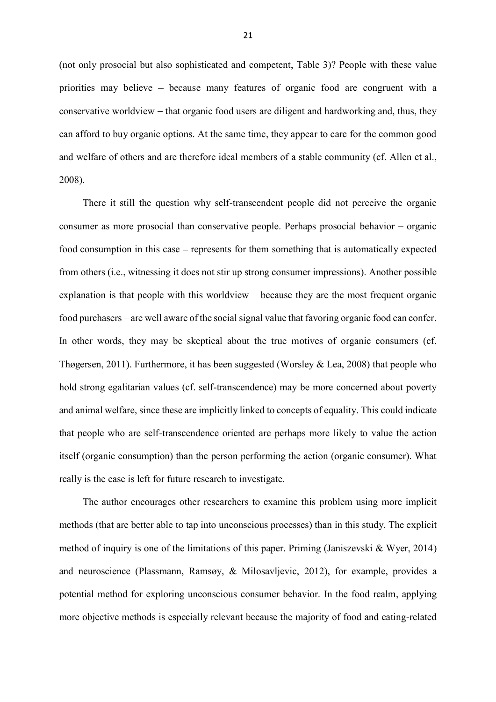(not only prosocial but also sophisticated and competent, Table 3)? People with these value priorities may believe – because many features of organic food are congruent with a conservative worldview – that organic food users are diligent and hardworking and, thus, they can afford to buy organic options. At the same time, they appear to care for the common good and welfare of others and are therefore ideal members of a stable community (cf. Allen et al., 2008).

There it still the question why self-transcendent people did not perceive the organic consumer as more prosocial than conservative people. Perhaps prosocial behavior  $-$  organic food consumption in this case – represents for them something that is automatically expected from others (i.e., witnessing it does not stir up strong consumer impressions). Another possible explanation is that people with this worldview – because they are the most frequent organic food purchasers – are well aware of the social signal value that favoring organic food can confer. In other words, they may be skeptical about the true motives of organic consumers (cf. Thøgersen, 2011). Furthermore, it has been suggested (Worsley & Lea, 2008) that people who hold strong egalitarian values (cf. self-transcendence) may be more concerned about poverty and animal welfare, since these are implicitly linked to concepts of equality. This could indicate that people who are self-transcendence oriented are perhaps more likely to value the action itself (organic consumption) than the person performing the action (organic consumer). What really is the case is left for future research to investigate.

The author encourages other researchers to examine this problem using more implicit methods (that are better able to tap into unconscious processes) than in this study. The explicit method of inquiry is one of the limitations of this paper. Priming (Janiszevski & Wyer, 2014) and neuroscience (Plassmann, Ramsøy, & Milosavljevic, 2012), for example, provides a potential method for exploring unconscious consumer behavior. In the food realm, applying more objective methods is especially relevant because the majority of food and eating-related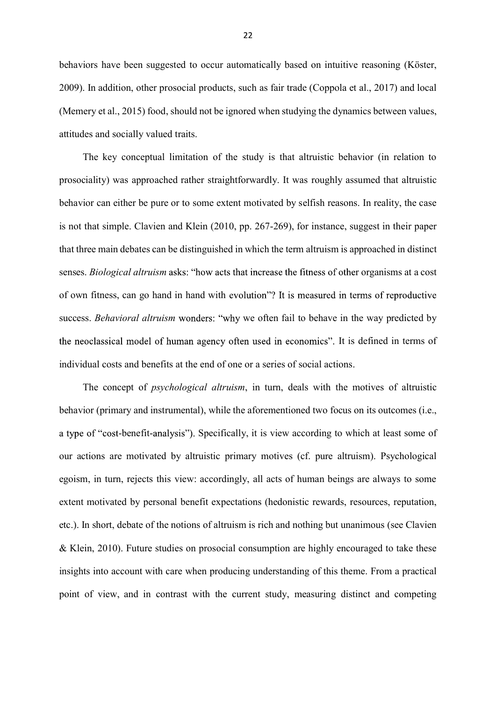behaviors have been suggested to occur automatically based on intuitive reasoning (Köster, 2009). In addition, other prosocial products, such as fair trade (Coppola et al., 2017) and local (Memery et al., 2015) food, should not be ignored when studying the dynamics between values, attitudes and socially valued traits.

The key conceptual limitation of the study is that altruistic behavior (in relation to prosociality) was approached rather straightforwardly. It was roughly assumed that altruistic behavior can either be pure or to some extent motivated by selfish reasons. In reality, the case is not that simple. Clavien and Klein (2010, pp. 267-269), for instance, suggest in their paper that three main debates can be distinguished in which the term altruism is approached in distinct senses. *Biological altruism* asks: "how acts that increase the fitness of other organisms at a cost of own fitness, can go hand in hand with evolution"? It is measured in terms of reproductive success. *Behavioral altruism* wonders: "why we often fail to behave in the way predicted by the neoclassical model of human agency often used in economics". It is defined in terms of individual costs and benefits at the end of one or a series of social actions.

The concept of *psychological altruism*, in turn, deals with the motives of altruistic behavior (primary and instrumental), while the aforementioned two focus on its outcomes (i.e., a type of "cost-benefit-analysis"). Specifically, it is view according to which at least some of our actions are motivated by altruistic primary motives (cf. pure altruism). Psychological egoism, in turn, rejects this view: accordingly, all acts of human beings are always to some extent motivated by personal benefit expectations (hedonistic rewards, resources, reputation, etc.). In short, debate of the notions of altruism is rich and nothing but unanimous (see Clavien & Klein, 2010). Future studies on prosocial consumption are highly encouraged to take these insights into account with care when producing understanding of this theme. From a practical point of view, and in contrast with the current study, measuring distinct and competing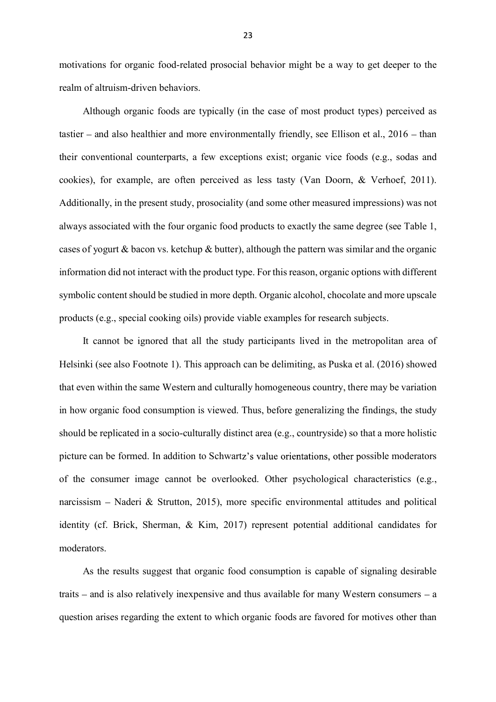motivations for organic food-related prosocial behavior might be a way to get deeper to the realm of altruism-driven behaviors.

Although organic foods are typically (in the case of most product types) perceived as tastier  $-$  and also healthier and more environmentally friendly, see Ellison et al.,  $2016 -$ than their conventional counterparts, a few exceptions exist; organic vice foods (e.g., sodas and cookies), for example, are often perceived as less tasty (Van Doorn, & Verhoef, 2011). Additionally, in the present study, prosociality (and some other measured impressions) was not always associated with the four organic food products to exactly the same degree (see Table 1, cases of yogurt  $\&$  bacon vs. ketchup  $\&$  butter), although the pattern was similar and the organic information did not interact with the product type. For this reason, organic options with different symbolic content should be studied in more depth. Organic alcohol, chocolate and more upscale products (e.g., special cooking oils) provide viable examples for research subjects.

It cannot be ignored that all the study participants lived in the metropolitan area of Helsinki (see also Footnote 1). This approach can be delimiting, as Puska et al. (2016) showed that even within the same Western and culturally homogeneous country, there may be variation in how organic food consumption is viewed. Thus, before generalizing the findings, the study should be replicated in a socio-culturally distinct area (e.g., countryside) so that a more holistic picture can be formed. In addition to Schwartz's value orientations, other possible moderators of the consumer image cannot be overlooked. Other psychological characteristics (e.g., narcissism – Naderi & Strutton, 2015), more specific environmental attitudes and political identity (cf. Brick, Sherman, & Kim, 2017) represent potential additional candidates for moderators.

As the results suggest that organic food consumption is capable of signaling desirable traits  $-$  and is also relatively inexpensive and thus available for many Western consumers  $-$  a question arises regarding the extent to which organic foods are favored for motives other than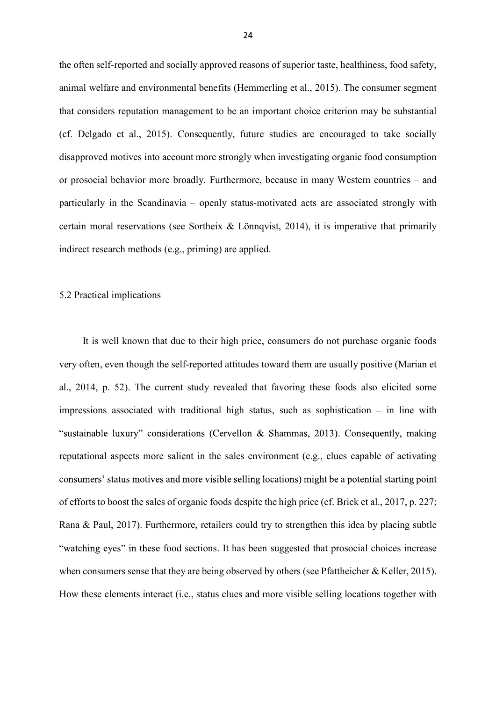the often self-reported and socially approved reasons of superior taste, healthiness, food safety, animal welfare and environmental benefits (Hemmerling et al., 2015). The consumer segment that considers reputation management to be an important choice criterion may be substantial (cf. Delgado et al., 2015). Consequently, future studies are encouraged to take socially disapproved motives into account more strongly when investigating organic food consumption or prosocial behavior more broadly. Furthermore, because in many Western countries – and particularly in the Scandinavia – openly status-motivated acts are associated strongly with certain moral reservations (see Sortheix  $\&$  Lönnqvist, 2014), it is imperative that primarily indirect research methods (e.g., priming) are applied.

#### 5.2 Practical implications

It is well known that due to their high price, consumers do not purchase organic foods very often, even though the self-reported attitudes toward them are usually positive (Marian et al., 2014, p. 52). The current study revealed that favoring these foods also elicited some impressions associated with traditional high status, such as sophistication  $-$  in line with "sustainable luxury" considerations (Cervellon & Shammas, 2013). Consequently, making reputational aspects more salient in the sales environment (e.g., clues capable of activating consumers' status motives and more visible selling locations) might be a potential starting point of efforts to boost the sales of organic foods despite the high price (cf. Brick et al., 2017, p. 227; Rana & Paul, 2017). Furthermore, retailers could try to strengthen this idea by placing subtle "watching eyes" in these food sections. It has been suggested that prosocial choices increase when consumers sense that they are being observed by others (see Pfattheicher & Keller, 2015). How these elements interact (i.e., status clues and more visible selling locations together with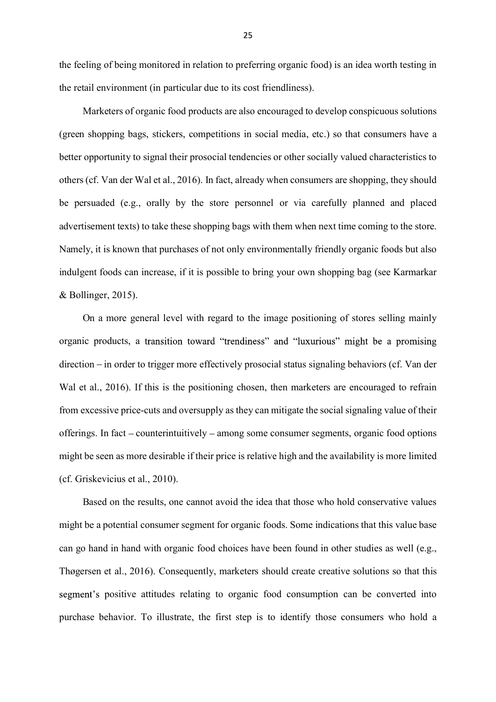the feeling of being monitored in relation to preferring organic food) is an idea worth testing in the retail environment (in particular due to its cost friendliness).

Marketers of organic food products are also encouraged to develop conspicuous solutions (green shopping bags, stickers, competitions in social media, etc.) so that consumers have a better opportunity to signal their prosocial tendencies or other socially valued characteristics to others (cf. Van der Wal et al., 2016). In fact, already when consumers are shopping, they should be persuaded (e.g., orally by the store personnel or via carefully planned and placed advertisement texts) to take these shopping bags with them when next time coming to the store. Namely, it is known that purchases of not only environmentally friendly organic foods but also indulgent foods can increase, if it is possible to bring your own shopping bag (see Karmarkar & Bollinger, 2015).

On a more general level with regard to the image positioning of stores selling mainly organic products, a transition toward "trendiness" and "luxurious" might be a promising direction – in order to trigger more effectively prosocial status signaling behaviors (cf. Van der Wal et al., 2016). If this is the positioning chosen, then marketers are encouraged to refrain from excessive price-cuts and oversupply as they can mitigate the social signaling value of their offerings. In fact – counterintuitively – among some consumer segments, organic food options might be seen as more desirable if their price is relative high and the availability is more limited (cf. Griskevicius et al., 2010).

Based on the results, one cannot avoid the idea that those who hold conservative values might be a potential consumer segment for organic foods. Some indications that this value base can go hand in hand with organic food choices have been found in other studies as well (e.g., Thøgersen et al., 2016). Consequently, marketers should create creative solutions so that this positive attitudes relating to organic food consumption can be converted into purchase behavior. To illustrate, the first step is to identify those consumers who hold a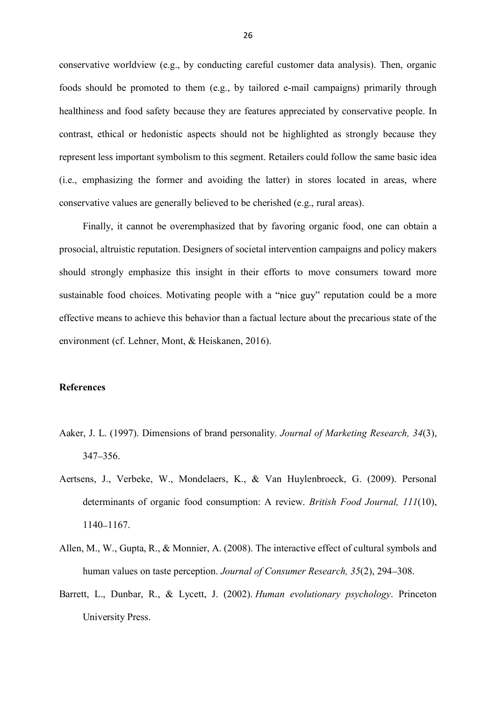conservative worldview (e.g., by conducting careful customer data analysis). Then, organic foods should be promoted to them (e.g., by tailored e-mail campaigns) primarily through healthiness and food safety because they are features appreciated by conservative people. In contrast, ethical or hedonistic aspects should not be highlighted as strongly because they represent less important symbolism to this segment. Retailers could follow the same basic idea (i.e., emphasizing the former and avoiding the latter) in stores located in areas, where conservative values are generally believed to be cherished (e.g., rural areas).

Finally, it cannot be overemphasized that by favoring organic food, one can obtain a prosocial, altruistic reputation. Designers of societal intervention campaigns and policy makers should strongly emphasize this insight in their efforts to move consumers toward more sustainable food choices. Motivating people with a "nice guy" reputation could be a more effective means to achieve this behavior than a factual lecture about the precarious state of the environment (cf. Lehner, Mont, & Heiskanen, 2016).

## **References**

- Aaker, J. L. (1997). Dimensions of brand personality. *Journal of Marketing Research, 34*(3),  $347 - 356$ .
- Aertsens, J., Verbeke, W., Mondelaers, K., & Van Huylenbroeck, G. (2009). Personal determinants of organic food consumption: A review. *British Food Journal, 111*(10), 1140 - 1167.
- Allen, M., W., Gupta, R., & Monnier, A. (2008). The interactive effect of cultural symbols and human values on taste perception. *Journal of Consumer Research*, 35(2), 294–308.
- Barrett, L., Dunbar, R., & Lycett, J. (2002). *Human evolutionary psychology*. Princeton University Press.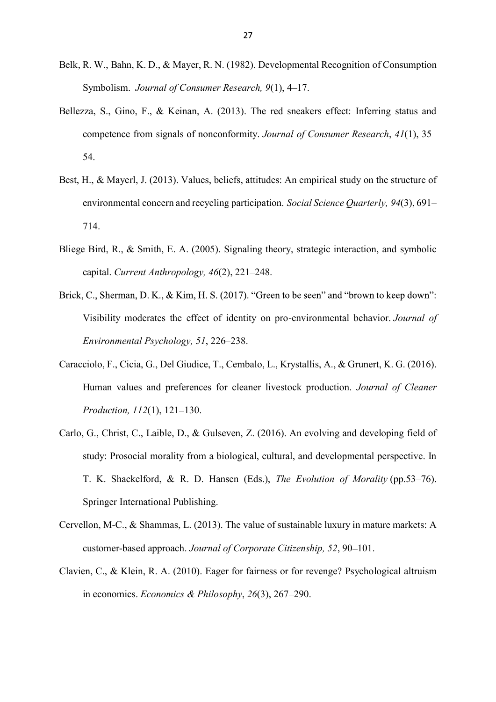- Belk, R. W., Bahn, K. D., & Mayer, R. N. (1982). Developmental Recognition of Consumption Symbolism. *Journal of Consumer Research*, 9(1), 4–17.
- Bellezza, S., Gino, F., & Keinan, A. (2013). The red sneakers effect: Inferring status and competence from signals of nonconformity. *Journal of Consumer Research*, *41*(1), 35 54.
- Best, H., & Mayerl, J. (2013). Values, beliefs, attitudes: An empirical study on the structure of environmental concern and recycling participation. *Social Science Quarterly, 94*(3), 691 714.
- Bliege Bird, R., & Smith, E. A. (2005). Signaling theory, strategic interaction, and symbolic capital. *Current Anthropology, 46*(2), 221 248.
- Brick, C., Sherman, D. K., & Kim, H. S. (2017). "Green to be seen" and "brown to keep down": Visibility moderates the effect of identity on pro-environmental behavior. *Journal of Environmental Psychology, 51, 226–238.*
- Caracciolo, F., Cicia, G., Del Giudice, T., Cembalo, L., Krystallis, A., & Grunert, K. G. (2016). Human values and preferences for cleaner livestock production. *Journal of Cleaner Production, 112(1), 121-130.*
- Carlo, G., Christ, C., Laible, D., & Gulseven, Z. (2016). An evolving and developing field of study: Prosocial morality from a biological, cultural, and developmental perspective. In T. K. Shackelford, & R. D. Hansen (Eds.), *The Evolution of Morality* (pp.53–76). Springer International Publishing.
- Cervellon, M-C., & Shammas, L. (2013). The value of sustainable luxury in mature markets: A customer-based approach. *Journal of Corporate Citizenship*, 52, 90–101.
- Clavien, C., & Klein, R. A. (2010). Eager for fairness or for revenge? Psychological altruism in economics. *Economics & Philosophy*, 26(3), 267–290.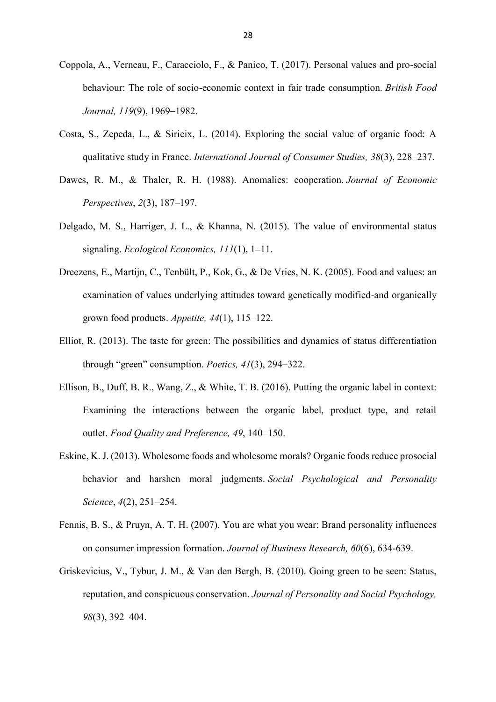- Coppola, A., Verneau, F., Caracciolo, F., & Panico, T. (2017). Personal values and pro-social behaviour: The role of socio-economic context in fair trade consumption. *British Food Journal,* 119(9), 1969-1982.
- Costa, S., Zepeda, L., & Sirieix, L. (2014). Exploring the social value of organic food: A qualitative study in France. *International Journal of Consumer Studies, 38*(3), 228 237.
- Dawes, R. M., & Thaler, R. H. (1988). Anomalies: cooperation. *Journal of Economic Perspectives*, 2(3), 187–197.
- Delgado, M. S., Harriger, J. L., & Khanna, N. (2015). The value of environmental status signaling. *Ecological Economics*,  $111(1)$ , 1–11.
- Dreezens, E., Martijn, C., Tenbült, P., Kok, G., & De Vries, N. K. (2005). Food and values: an examination of values underlying attitudes toward genetically modified-and organically grown food products. *Appetite*, 44(1), 115–122.
- Elliot, R. (2013). The taste for green: The possibilities and dynamics of status differentiation *through "green" consumption. Poetics,*  $41(3)$ *,*  $294-322$ *.*
- Ellison, B., Duff, B. R., Wang, Z., & White, T. B. (2016). Putting the organic label in context: Examining the interactions between the organic label, product type, and retail outlet. *Food Quality and Preference*, 49, 140-150.
- Eskine, K. J. (2013). Wholesome foods and wholesome morals? Organic foods reduce prosocial behavior and harshen moral judgments. *Social Psychological and Personality Science*,  $4(2)$ ,  $251-254$ .
- Fennis, B. S., & Pruyn, A. T. H. (2007). You are what you wear: Brand personality influences on consumer impression formation. *Journal of Business Research, 60*(6), 634-639.
- Griskevicius, V., Tybur, J. M., & Van den Bergh, B. (2010). Going green to be seen: Status, reputation, and conspicuous conservation. *Journal of Personality and Social Psychology, 98*(3), 392–404.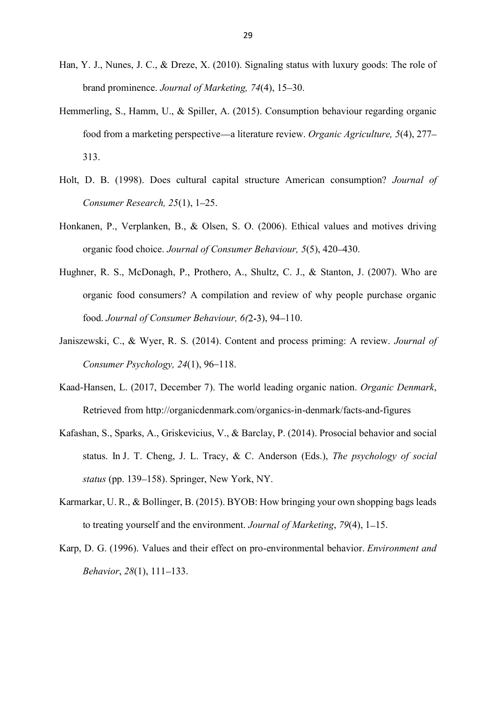- Han, Y. J., Nunes, J. C., & Dreze, X. (2010). Signaling status with luxury goods: The role of brand prominence. *Journal of Marketing*, 74(4), 15–30.
- Hemmerling, S., Hamm, U., & Spiller, A. (2015). Consumption behaviour regarding organic food from a marketing perspective—a literature review. *Organic Agriculture*, 5(4), 277-313.
- Holt, D. B. (1998). Does cultural capital structure American consumption? *Journal of Consumer Research, 25(1), 1–25.*
- Honkanen, P., Verplanken, B., & Olsen, S. O. (2006). Ethical values and motives driving organic food choice. *Journal of Consumer Behaviour, 5*(5), 420 430.
- Hughner, R. S., McDonagh, P., Prothero, A., Shultz, C. J., & Stanton, J. (2007). Who are organic food consumers? A compilation and review of why people purchase organic food. *Journal of Consumer Behaviour, 6(2-3)*, 94-110.
- Janiszewski, C., & Wyer, R. S. (2014). Content and process priming: A review. *Journal of Consumer Psychology, 24(1), 96–118.*
- Kaad-Hansen, L. (2017, December 7). The world leading organic nation. *Organic Denmark*, Retrieved from http://organicdenmark.com/organics-in-denmark/facts-and-figures
- Kafashan, S., Sparks, A., Griskevicius, V., & Barclay, P. (2014). Prosocial behavior and social status. In J. T. Cheng, J. L. Tracy, & C. Anderson (Eds.), *The psychology of social status* (pp. 139–158). Springer, New York, NY.
- Karmarkar, U. R., & Bollinger, B. (2015). BYOB: How bringing your own shopping bags leads to treating yourself and the environment. *Journal of Marketing*, 79(4), 1–15.
- Karp, D. G. (1996). Values and their effect on pro-environmental behavior. *Environment and Behavior*, 28(1), 111-133.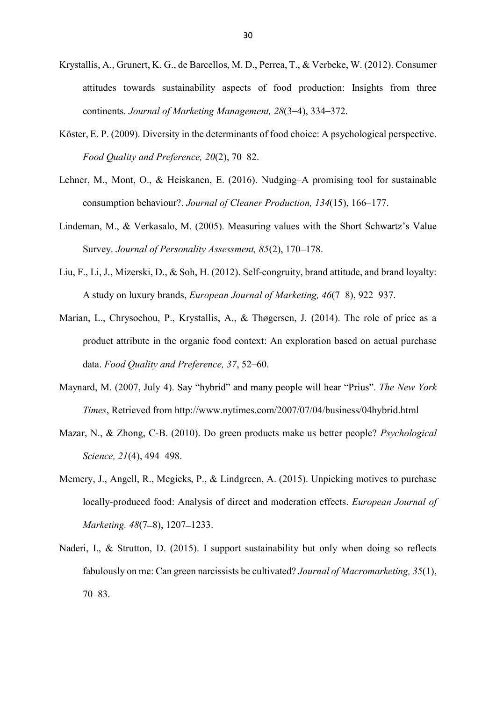- Krystallis, A., Grunert, K. G., de Barcellos, M. D., Perrea, T., & Verbeke, W. (2012). Consumer attitudes towards sustainability aspects of food production: Insights from three continents. *Journal of Marketing Management*, 28(3–4), 334–372.
- Köster, E. P. (2009). Diversity in the determinants of food choice: A psychological perspective. *Food Quality and Preference, 20(2), 70–82.*
- Lehner, M., Mont, O., & Heiskanen, E.  $(2016)$ . Nudging-A promising tool for sustainable consumption behaviour?. *Journal of Cleaner Production, 134*(15), 166-177.
- Lindeman, M., & Verkasalo, M. (2005). Measuring values with the Short Schwartz's Value Survey. *Journal of Personality Assessment, 85(2)*, 170–178.
- Liu, F., Li, J., Mizerski, D., & Soh, H. (2012). Self-congruity, brand attitude, and brand loyalty: A study on luxury brands, *European Journal of Marketing*, 46(7–8), 922–937.
- Marian, L., Chrysochou, P., Krystallis, A., & Thøgersen, J. (2014). The role of price as a product attribute in the organic food context: An exploration based on actual purchase data. *Food Ouality and Preference*, 37, 52–60.
- Maynard, M. (2007, July 4). Say "hybrid" and many people will hear "Prius". The New York *Times*, Retrieved from http://www.nytimes.com/2007/07/04/business/04hybrid.html
- Mazar, N., & Zhong, C-B. (2010). Do green products make us better people? *Psychological Science, 21*(4), 494–498.
- Memery, J., Angell, R., Megicks, P., & Lindgreen, A. (2015). Unpicking motives to purchase locally-produced food: Analysis of direct and moderation effects. *European Journal of Marketing.* 48(7-8), 1207-1233.
- Naderi, I., & Strutton, D. (2015). I support sustainability but only when doing so reflects fabulously on me: Can green narcissists be cultivated? *Journal of Macromarketing, 35*(1),  $70 - 83$ .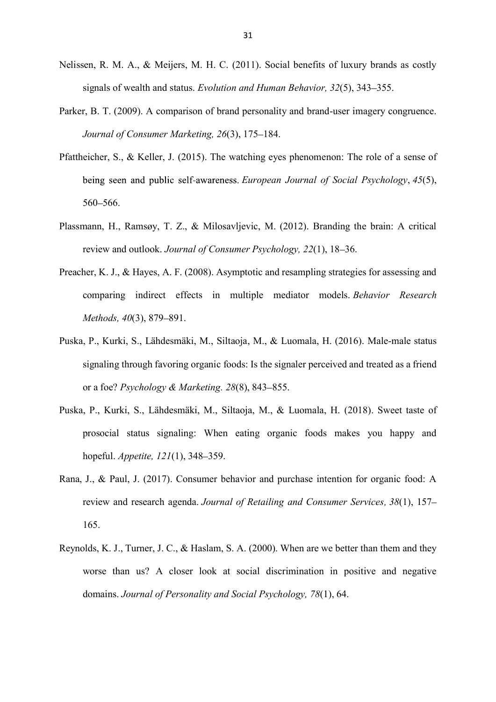- Nelissen, R. M. A., & Meijers, M. H. C. (2011). Social benefits of luxury brands as costly signals of wealth and status. *Evolution and Human Behavior*, 32(5), 343–355.
- Parker, B. T. (2009). A comparison of brand personality and brand-user imagery congruence. *Journal of Consumer Marketing, 26(3), 175–184.*
- Pfattheicher, S., & Keller, J. (2015). The watching eyes phenomenon: The role of a sense of *European Journal of Social Psychology*, *45*(5), 560 - 566.
- Plassmann, H., Ramsøy, T. Z., & Milosavljevic, M. (2012). Branding the brain: A critical review and outlook. *Journal of Consumer Psychology*, 22(1), 18–36.
- Preacher, K. J., & Hayes, A. F. (2008). Asymptotic and resampling strategies for assessing and comparing indirect effects in multiple mediator models. *Behavior Research Methods, 40(3), 879-891.*
- Puska, P., Kurki, S., Lähdesmäki, M., Siltaoja, M., & Luomala, H. (2016). Male-male status signaling through favoring organic foods: Is the signaler perceived and treated as a friend or a foe? *Psychology & Marketing.* 28(8), 843-855.
- Puska, P., Kurki, S., Lähdesmäki, M., Siltaoja, M., & Luomala, H. (2018). Sweet taste of prosocial status signaling: When eating organic foods makes you happy and hopeful. *Appetite*,  $121(1)$ , 348–359.
- Rana, J., & Paul, J. (2017). Consumer behavior and purchase intention for organic food: A review and research agenda. *Journal of Retailing and Consumer Services, 38*(1), 157 165.
- Reynolds, K. J., Turner, J. C., & Haslam, S. A. (2000). When are we better than them and they worse than us? A closer look at social discrimination in positive and negative domains. *Journal of Personality and Social Psychology, 78*(1), 64.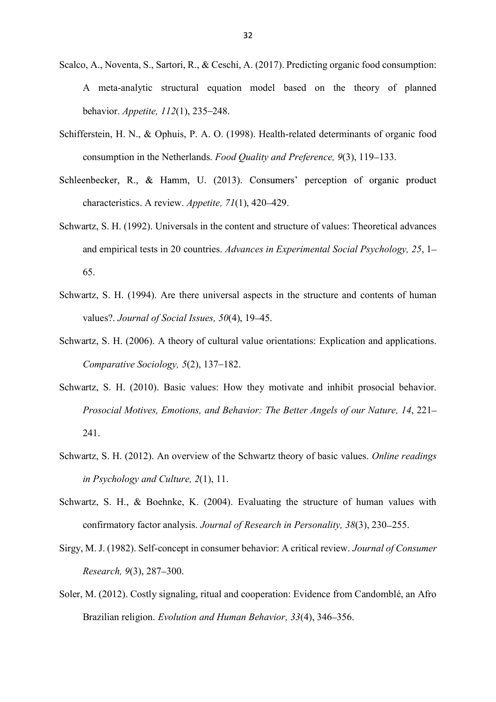- Scalco, A., Noventa, S., Sartori, R., & Ceschi, A. (2017). Predicting organic food consumption: A meta-analytic structural equation model based on the theory of planned behavior. *Appetite*, 112(1), 235–248.
- Schifferstein, H. N., & Ophuis, P. A. O. (1998). Health-related determinants of organic food consumption in the Netherlands. *Food Quality and Preference*, 9(3), 119–133.
- Schleenbecker, R., & Hamm, U. (2013). Consumers' perception of organic product characteristics. A review. *Appetite*, 71(1), 420–429.
- Schwartz, S. H. (1992). Universals in the content and structure of values: Theoretical advances and empirical tests in 20 countries. *Advances in Experimental Social Psychology, 25*, 1 65.
- Schwartz, S. H. (1994). Are there universal aspects in the structure and contents of human values?. *Journal of Social Issues, 50*(4), 19 45.
- Schwartz, S. H. (2006). A theory of cultural value orientations: Explication and applications. *Comparative Sociology, 5(2), 137–182.*
- Schwartz, S. H. (2010). Basic values: How they motivate and inhibit prosocial behavior. *Prosocial Motives, Emotions, and Behavior: The Better Angels of our Nature, 14*, 221 241.
- Schwartz, S. H. (2012). An overview of the Schwartz theory of basic values. *Online readings in Psychology and Culture, 2*(1), 11.
- Schwartz, S. H., & Boehnke, K. (2004). Evaluating the structure of human values with confirmatory factor analysis. *Journal of Research in Personality, 38*(3), 230 255.
- Sirgy, M. J. (1982). Self-concept in consumer behavior: A critical review. *Journal of Consumer Research, 9(3), 287–300.*
- Soler, M. (2012). Costly signaling, ritual and cooperation: Evidence from Candomblé, an Afro Brazilian religion. *Evolution and Human Behavior*, 33(4), 346–356.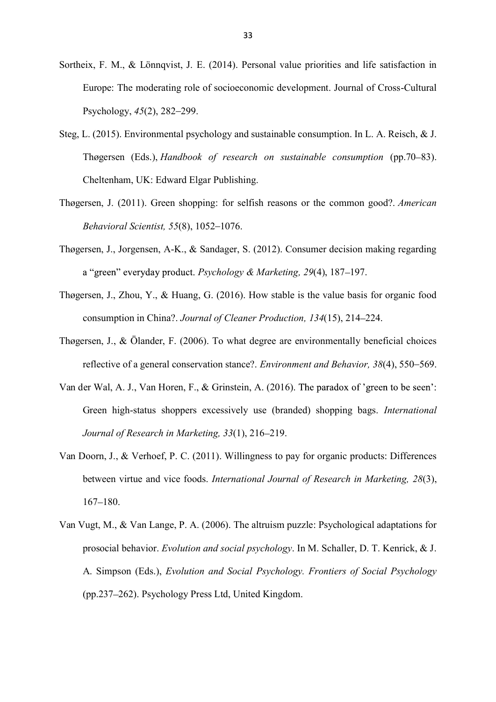- Sortheix, F. M., & Lönnqvist, J. E. (2014). Personal value priorities and life satisfaction in Europe: The moderating role of socioeconomic development. Journal of Cross-Cultural Psychology,  $45(2)$ , 282–299.
- Steg, L. (2015). Environmental psychology and sustainable consumption. In L. A. Reisch, & J. Thøgersen (Eds.), *Handbook of research on sustainable consumption* (pp.70–83). Cheltenham, UK: Edward Elgar Publishing.
- Thøgersen, J. (2011). Green shopping: for selfish reasons or the common good?. *American Behavioral Scientist, 55(8), 1052-1076.*
- Thøgersen, J., Jorgensen, A-K., & Sandager, S. (2012). Consumer decision making regarding a "green" everyday product. Psychology & Marketing, 29(4), 187–197.
- Thøgersen, J., Zhou, Y., & Huang, G. (2016). How stable is the value basis for organic food consumption in China?. *Journal of Cleaner Production, 134*(15), 214–224.
- Thøgersen, J., & Ölander, F. (2006). To what degree are environmentally beneficial choices reflective of a general conservation stance?. *Environment and Behavior*, 38(4), 550–569.
- Van der Wal, A. J., Van Horen, F., & Grinstein, A. (2016). The paradox of 'green to be seen': Green high-status shoppers excessively use (branded) shopping bags. *International Journal of Research in Marketing,* 33(1), 216-219.
- Van Doorn, J., & Verhoef, P. C. (2011). Willingness to pay for organic products: Differences between virtue and vice foods. *International Journal of Research in Marketing, 28*(3),  $167 - 180.$
- Van Vugt, M., & Van Lange, P. A. (2006). The altruism puzzle: Psychological adaptations for prosocial behavior. *Evolution and social psychology*. In M. Schaller, D. T. Kenrick, & J. A. Simpson (Eds.), *Evolution and Social Psychology. Frontiers of Social Psychology* (pp.237 262). Psychology Press Ltd, United Kingdom.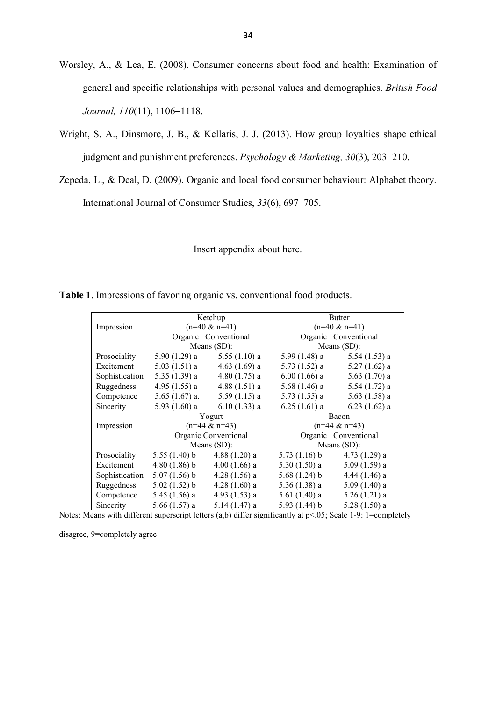- Worsley, A., & Lea, E. (2008). Consumer concerns about food and health: Examination of general and specific relationships with personal values and demographics. *British Food Journal,* 110(11), 1106-1118.
- Wright, S. A., Dinsmore, J. B., & Kellaris, J. J. (2013). How group loyalties shape ethical judgment and punishment preferences. *Psychology & Marketing*, 30(3), 203-210.
- Zepeda, L., & Deal, D. (2009). Organic and local food consumer behaviour: Alphabet theory. International Journal of Consumer Studies,  $33(6)$ , 697–705.

Insert appendix about here.

|                |                                                            | Ketchup         | <b>Butter</b>        |                 |  |  |
|----------------|------------------------------------------------------------|-----------------|----------------------|-----------------|--|--|
| Impression     | $(n=40 \& n=41)$<br>Organic Conventional                   |                 | $(n=40 \& n=41)$     |                 |  |  |
|                |                                                            |                 | Organic Conventional |                 |  |  |
|                |                                                            | Means $(SD)$ :  | Means $(SD)$ :       |                 |  |  |
| Prosociality   | $5.90(1.29)$ a                                             | $5.55(1.10)$ a  | 5.99 (1.48) a        | $5.54(1.53)$ a  |  |  |
| Excitement     | $5.03(1.51)$ a                                             | $4.63(1.69)$ a  | $5.73(1.52)$ a       | $5.27(1.62)$ a  |  |  |
| Sophistication | $5.35(1.39)$ a                                             | $4.80(1.75)$ a  | $6.00(1.66)$ a       | 5.63 $(1.70)$ a |  |  |
| Ruggedness     | $4.95(1.55)$ a                                             | $4.88(1.51)$ a  | $5.68(1.46)$ a       | $5.54(1.72)$ a  |  |  |
| Competence     | $5.65(1.67)$ a.                                            | $5.59(1.15)$ a  | $5.73(1.55)$ a       | $5.63(1.58)$ a  |  |  |
| Sincerity      | $5.93(1.60)$ a                                             | $6.10(1.33)$ a  | $6.25(1.61)$ a       | $6.23(1.62)$ a  |  |  |
|                |                                                            | Yogurt          | Bacon                |                 |  |  |
| Impression     | $(n=44 \& n=43)$<br>Organic Conventional<br>Means $(SD)$ : |                 | $(n=44 \& n=43)$     |                 |  |  |
|                |                                                            |                 | Organic Conventional |                 |  |  |
|                |                                                            |                 | Means $(SD)$ :       |                 |  |  |
| Prosociality   | 5.55(1.40) b                                               | $4.88(1.20)$ a  | $5.73(1.16)$ b       | $4.73(1.29)$ a  |  |  |
| Excitement     | $4.80(1.86)$ b                                             | $4.00(1.66)$ a  | $5.30(1.50)$ a       | $5.09(1.59)$ a  |  |  |
| Sophistication | $5.07(1.56)$ b                                             | $4.28(1.56)$ a  | 5.68(1.24) b         | $4.44(1.46)$ a  |  |  |
| Ruggedness     | $5.02(1.52)$ b                                             | $4.28(1.60)$ a  | $5.36(1.38)$ a       | $5.09(1.40)$ a  |  |  |
| Competence     | 5.45 (1.56) a                                              | 4.93 $(1.53)$ a | $5.61(1.40)$ a       | $5.26(1.21)$ a  |  |  |
| Sincerity      | 5.66 (1.57) a                                              | $5.14(1.47)$ a  | 5.93(1.44) b         | $5.28(1.50)$ a  |  |  |

**Table 1**. Impressions of favoring organic vs. conventional food products.

Notes: Means with different superscript letters (a,b) differ significantly at p<.05; Scale 1-9: 1=completely

disagree, 9=completely agree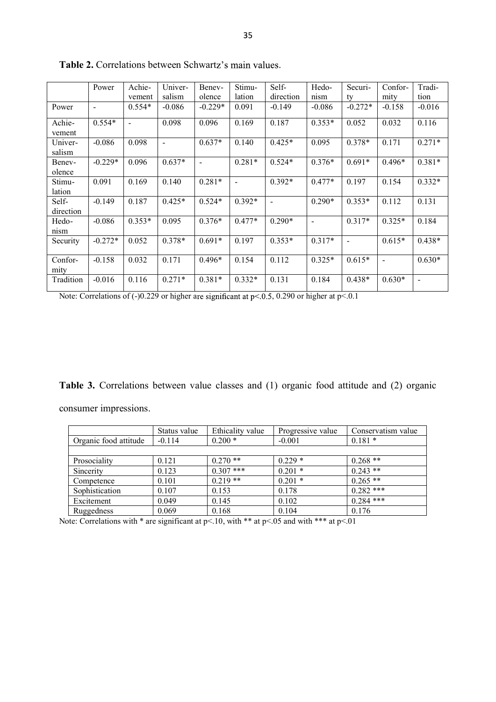|                    | Power                    | Achie-<br>vement | Univer-<br>salism | Benev-<br>olence | Stimu-<br>lation | Self-<br>direction           | Hedo-<br>nism            | Securi-<br>tv  | Confor-<br>mity | Tradi-<br>tion           |
|--------------------|--------------------------|------------------|-------------------|------------------|------------------|------------------------------|--------------------------|----------------|-----------------|--------------------------|
| Power              | $\overline{\phantom{a}}$ | $0.554*$         | $-0.086$          | $-0.229*$        | 0.091            | $-0.149$                     | $-0.086$                 | $-0.272*$      | $-0.158$        | $-0.016$                 |
| Achie-<br>vement   | $0.554*$                 | $\blacksquare$   | 0.098             | 0.096            | 0.169            | 0.187                        | $0.353*$                 | 0.052          | 0.032           | 0.116                    |
| Univer-<br>salism  | $-0.086$                 | 0.098            | $\sim$            | $0.637*$         | 0.140            | $0.425*$                     | 0.095                    | $0.378*$       | 0.171           | $0.271*$                 |
| Benev-<br>olence   | $-0.229*$                | 0.096            | $0.637*$          | $\sim$           | $0.281*$         | $0.524*$                     | $0.376*$                 | $0.691*$       | $0.496*$        | $0.381*$                 |
| Stimu-<br>lation   | 0.091                    | 0.169            | 0.140             | $0.281*$         |                  | $0.392*$                     | $0.477*$                 | 0.197          | 0.154           | $0.332*$                 |
| Self-<br>direction | $-0.149$                 | 0.187            | $0.425*$          | $0.524*$         | $0.392*$         | $\qquad \qquad \blacksquare$ | $0.290*$                 | $0.353*$       | 0.112           | 0.131                    |
| Hedo-<br>nism      | $-0.086$                 | $0.353*$         | 0.095             | $0.376*$         | $0.477*$         | $0.290*$                     | $\overline{\phantom{a}}$ | $0.317*$       | $0.325*$        | 0.184                    |
| Security           | $-0.272*$                | 0.052            | $0.378*$          | $0.691*$         | 0.197            | $0.353*$                     | $0.317*$                 | $\blacksquare$ | $0.615*$        | $0.438*$                 |
| Confor-<br>mity    | $-0.158$                 | 0.032            | 0.171             | $0.496*$         | 0.154            | 0.112                        | $0.325*$                 | $0.615*$       | $\sim$          | $0.630*$                 |
| Tradition          | $-0.016$                 | 0.116            | $0.271*$          | $0.381*$         | $0.332*$         | 0.131                        | 0.184                    | $0.438*$       | $0.630*$        | $\overline{\phantom{a}}$ |

Table 2. Correlations between Schwartz's main values.

Note: Correlations of  $(-)0.229$  or higher are significant at p<.0.5, 0.290 or higher at p<.0.1

**Table 3.** Correlations between value classes and (1) organic food attitude and (2) organic consumer impressions.

|                       | Status value | Ethicality value | Progressive value | Conservatism value |
|-----------------------|--------------|------------------|-------------------|--------------------|
| Organic food attitude | $-0.114$     | $0.200*$         | $-0.001$          | $0.181*$           |
|                       |              |                  |                   |                    |
| Prosociality          | 0.121        | $0.270**$        | $0.229*$          | $0.268**$          |
| Sincerity             | 0.123        | $0.307$ ***      | $0.201*$          | $0.243$ **         |
| Competence            | 0.101        | $0.219**$        | $0.201*$          | $0.265$ **         |
| Sophistication        | 0.107        | 0.153            | 0.178             | $0.282$ ***        |
| Excitement            | 0.049        | 0.145            | 0.102             | $0.284$ ***        |
| Ruggedness            | 0.069        | 0.168            | 0.104             | 0.176              |

Note: Correlations with  $*$  are significant at p<.10, with  $**$  at p<.05 and with  $***$  at p<.01